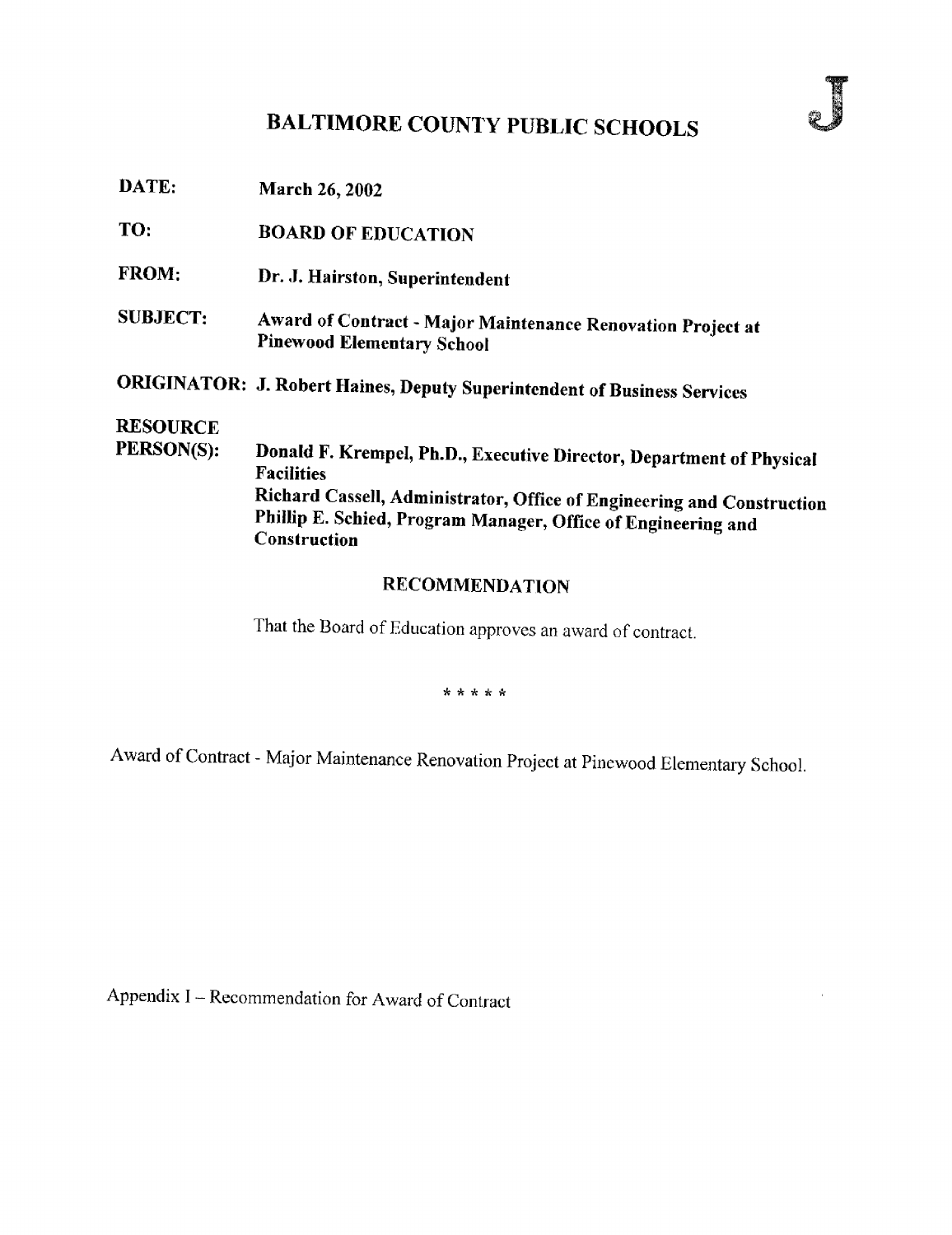# BALTIMORE COUNTY PUBLIC SCHOOLS

| DATE:           | March 26, 2002                                                                                   |
|-----------------|--------------------------------------------------------------------------------------------------|
| TO:             | <b>BOARD OF EDUCATION</b>                                                                        |
| FROM:           | Dr. J. Hairston, Superintendent                                                                  |
| <b>SUBJECT:</b> | Award of Contract - Major Maintenance Renovation Project at<br><b>Pinewood Elementary School</b> |
|                 | <b>ORIGINATOR: J. Robert Haines, Deputy Superintendent of Business Services</b>                  |
| <b>RESOURCE</b> |                                                                                                  |
| PERSON(S):      | Donald F. Krempel, Ph.D., Executive Director, Department of Physical<br><b>Facilities</b>        |
|                 | Richard Cassell, Administrator, Office of Engineering and Construction                           |
|                 | Phillip E. Schied, Program Manager, Office of Engineering and<br>Construction                    |
|                 |                                                                                                  |

### RECOMMENDATION

That the Board of Education approves an award of contract.

\* \* \* \* \*

Award of Contract - Major Maintenance Renovation Project at Pinewood Elementary School.

Appendix <sup>I</sup> - Recommendation for Award of Contract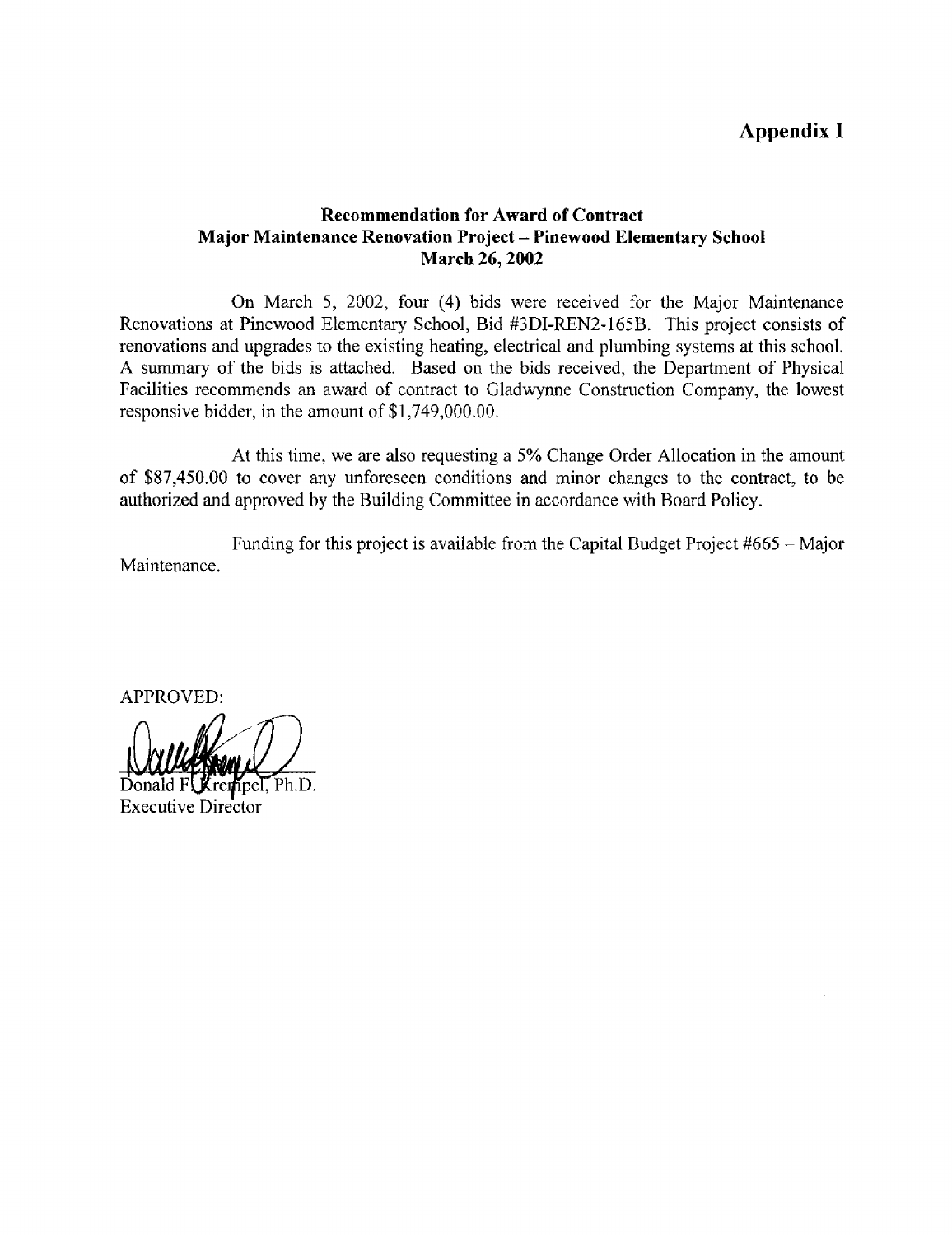## Appendix

### Recommendation for Award of Contract Major Maintenance Renovation Project - Pinewood Elementary School March 26, 2002

On March 5, 2002, four (4) bids were received for the Major Maintenance Renovations at Pinewood Elementary School, Bid #3DI-REN2-165B. This project consists of renovations and upgrades to the existing heating, electrical and plumbing systems at this school. A summary of the bids is attached. Based on the bids received, the Department of Physical Facilities recommends an award of contract to Gladwynne Construction Company, the lowest responsive bidder, in the amount of \$1,749,000.00.

At this time, we are also requesting <sup>a</sup> 5% Change Order Allocation in the amount of \$87,450.00 to cover any unforeseen conditions and minor changes to the contract, to be authorized and approved by the Building Committee in accordance with Board Policy.

Maintenance. Funding for this project is available from the Capital Budget Project  $#665 -$ Major

APPROVED:

Ph.D. Executive Director